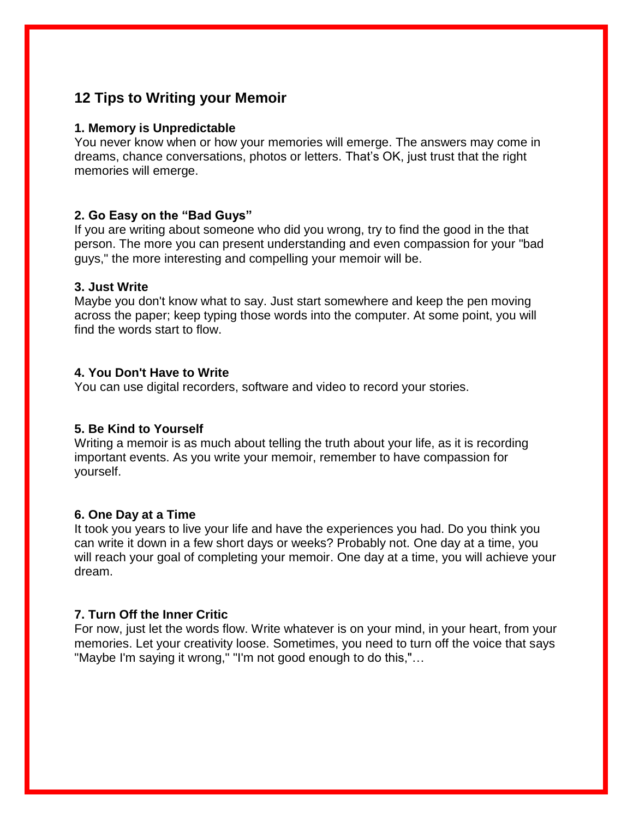# **12 Tips to Writing your Memoir**

### **1. Memory is Unpredictable**

You never know when or how your memories will emerge. The answers may come in dreams, chance conversations, photos or letters. That's OK, just trust that the right memories will emerge.

## **2. Go Easy on the "Bad Guys"**

If you are writing about someone who did you wrong, try to find the good in the that person. The more you can present understanding and even compassion for your "bad guys," the more interesting and compelling your memoir will be.

### **3. Just Write**

Maybe you don't know what to say. Just start somewhere and keep the pen moving across the paper; keep typing those words into the computer. At some point, you will find the words start to flow.

### **4. You Don't Have to Write**

You can use digital recorders, software and video to record your stories.

### **5. Be Kind to Yourself**

Writing a memoir is as much about telling the truth about your life, as it is recording important events. As you write your memoir, remember to have compassion for yourself.

### **6. One Day at a Time**

It took you years to live your life and have the experiences you had. Do you think you can write it down in a few short days or weeks? Probably not. One day at a time, you will reach your goal of completing your memoir. One day at a time, you will achieve your dream.

## **7. Turn Off the Inner Critic**

For now, just let the words flow. Write whatever is on your mind, in your heart, from your memories. Let your creativity loose. Sometimes, you need to turn off the voice that says "Maybe I'm saying it wrong," "I'm not good enough to do this,"…